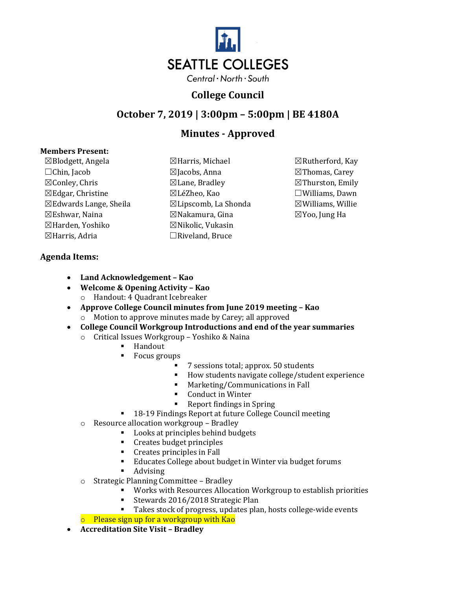

### **College Council**

# **October 7, 2019 | 3:00pm – 5:00pm | BE 4180A**

# **Minutes - Approved**

#### **Members Present:**

 $\boxtimes$ Blodgett, Angela  $\boxtimes$ Harris, Michael  $\boxtimes$ Rutherford, Kay ☐Chin, Jacob ☒Jacobs, Anna ☒Thomas, Carey  $\boxtimes$ Conley, Chris  $\boxtimes$ Lane, Bradley  $\boxtimes$ Thurston, Emily ☒Edgar, Christine ☒LéZheo, Kao ☐Williams, Dawn  $\boxtimes$ Edwards Lange, Sheila  $\boxtimes$ Lipscomb, La Shonda  $\boxtimes$ Williams, Willie ☒Eshwar, Naina ☒Nakamura, Gina ☒Yoo, Jung Ha ⊠Harden, Yoshiko ⊠Nikolic, Vukasin ☒Harris, Adria ☐Riveland, Bruce

- 
- 

#### **Agenda Items:**

- **Land Acknowledgement – Kao**
- **Welcome & Opening Activity – Kao** 
	- o Handout: 4 Quadrant Icebreaker
- **Approve College Council minutes from June 2019 meeting – Kao**  o Motion to approve minutes made by Carey; all approved
- **College Council Workgroup Introductions and end of the year summaries** 
	- o Critical Issues Workgroup Yoshiko & Naina
		- Handout
		- Focus groups
			- 7 sessions total; approx. 50 students
			- How students navigate college/student experience
			- Marketing/Communications in Fall
			- Conduct in Winter
			- Report findings in Spring
		- 18-19 Findings Report at future College Council meeting
	- o Resource allocation workgroup Bradley
		- Looks at principles behind budgets
		- Creates budget principles
		- Creates principles in Fall
		- Educates College about budget in Winter via budget forums
		- **Advising**
	- o Strategic Planning Committee Bradley
		- Works with Resources Allocation Workgroup to establish priorities
		- Stewards 2016/2018 Strategic Plan
		- Takes stock of progress, updates plan, hosts college-wide events

o Please sign up for a workgroup with Kao

• **Accreditation Site Visit – Bradley**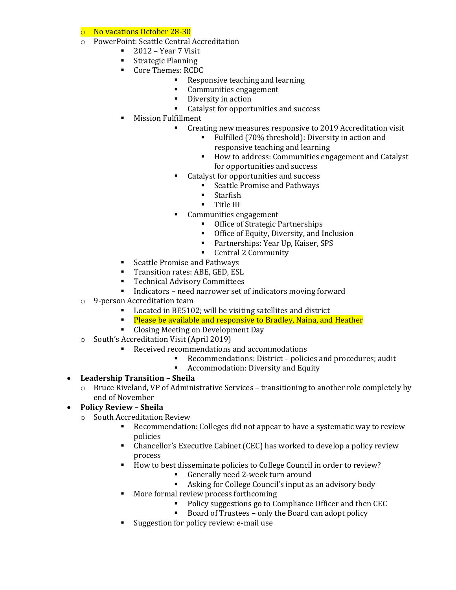o No vacations October 28-30

- o PowerPoint: Seattle Central Accreditation
	- $\blacksquare$  2012 Year 7 Visit
	- Strategic Planning
	- Core Themes: RCDC
		- Responsive teaching and learning
		- Communities engagement
		- Diversity in action
		- Catalyst for opportunities and success
	- Mission Fulfillment
		- Creating new measures responsive to 2019 Accreditation visit
			- Fulfilled (70% threshold): Diversity in action and responsive teaching and learning
			- How to address: Communities engagement and Catalyst for opportunities and success
		- Catalyst for opportunities and success
			- Seattle Promise and Pathways
			- Starfish
			- Title III
		- Communities engagement
			- Office of Strategic Partnerships
			- Office of Equity, Diversity, and Inclusion
			- Partnerships: Year Up, Kaiser, SPS
			- Central 2 Community
	- Seattle Promise and Pathways
	- **Transition rates: ABE, GED, ESL**
	- Technical Advisory Committees
	- Indicators need narrower set of indicators moving forward
- o 9-person Accreditation team
	- Located in BE5102; will be visiting satellites and district
	- **EXECTE A** Please be available and responsive to Bradley, Naina, and Heather
	- Closing Meeting on Development Day
- o South's Accreditation Visit (April 2019)
	- Received recommendations and accommodations
		- Recommendations: District policies and procedures; audit
		- Accommodation: Diversity and Equity
- **Leadership Transition – Sheila** 
	- o Bruce Riveland, VP of Administrative Services transitioning to another role completely by end of November
- **Policy Review – Sheila** 
	- o South Accreditation Review
		- Recommendation: Colleges did not appear to have a systematic way to review policies
		- Chancellor's Executive Cabinet (CEC) has worked to develop a policy review process
		- How to best disseminate policies to College Council in order to review?
			- Generally need 2-week turn around
			- Asking for College Council's input as an advisory body
		- More formal review process forthcoming
			- Policy suggestions go to Compliance Officer and then CEC
			- Board of Trustees only the Board can adopt policy
		- Suggestion for policy review: e-mail use